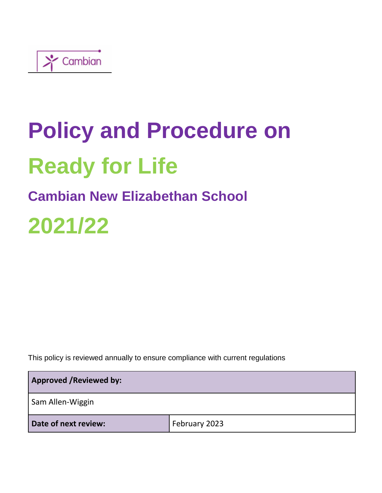

# **Policy and Procedure on Ready for Life**

## **Cambian New Elizabethan School**

## **2021/22**

This policy is reviewed annually to ensure compliance with current regulations

| <b>Approved / Reviewed by:</b> |               |  |
|--------------------------------|---------------|--|
| Sam Allen-Wiggin               |               |  |
| Date of next review:           | February 2023 |  |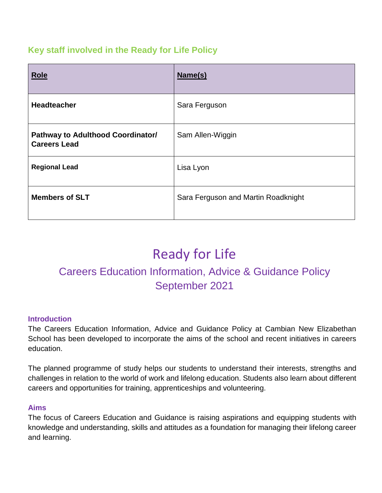#### **Key staff involved in the Ready for Life Policy**

| <b>Role</b>                                              | Name(s)                             |
|----------------------------------------------------------|-------------------------------------|
| <b>Headteacher</b>                                       | Sara Ferguson                       |
| Pathway to Adulthood Coordinator/<br><b>Careers Lead</b> | Sam Allen-Wiggin                    |
| <b>Regional Lead</b>                                     | Lisa Lyon                           |
| <b>Members of SLT</b>                                    | Sara Ferguson and Martin Roadknight |

## Ready for Life

### Careers Education Information, Advice & Guidance Policy September 2021

#### **Introduction**

The Careers Education Information, Advice and Guidance Policy at Cambian New Elizabethan School has been developed to incorporate the aims of the school and recent initiatives in careers education.

The planned programme of study helps our students to understand their interests, strengths and challenges in relation to the world of work and lifelong education. Students also learn about different careers and opportunities for training, apprenticeships and volunteering.

#### **Aims**

The focus of Careers Education and Guidance is raising aspirations and equipping students with knowledge and understanding, skills and attitudes as a foundation for managing their lifelong career and learning.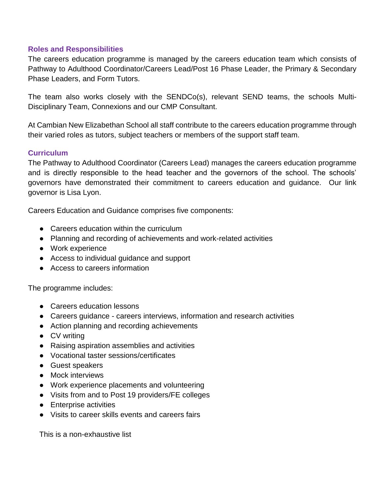#### **Roles and Responsibilities**

The careers education programme is managed by the careers education team which consists of Pathway to Adulthood Coordinator/Careers Lead/Post 16 Phase Leader, the Primary & Secondary Phase Leaders, and Form Tutors.

The team also works closely with the SENDCo(s), relevant SEND teams, the schools Multi-Disciplinary Team, Connexions and our CMP Consultant.

At Cambian New Elizabethan School all staff contribute to the careers education programme through their varied roles as tutors, subject teachers or members of the support staff team.

#### **Curriculum**

The Pathway to Adulthood Coordinator (Careers Lead) manages the careers education programme and is directly responsible to the head teacher and the governors of the school. The schools' governors have demonstrated their commitment to careers education and guidance. Our link governor is Lisa Lyon.

Careers Education and Guidance comprises five components:

- Careers education within the curriculum
- Planning and recording of achievements and work-related activities
- Work experience
- Access to individual quidance and support
- Access to careers information

The programme includes:

- Careers education lessons
- Careers guidance careers interviews, information and research activities
- Action planning and recording achievements
- CV writing
- Raising aspiration assemblies and activities
- Vocational taster sessions/certificates
- Guest speakers
- Mock interviews
- Work experience placements and volunteering
- Visits from and to Post 19 providers/FE colleges
- Enterprise activities
- Visits to career skills events and careers fairs

This is a non-exhaustive list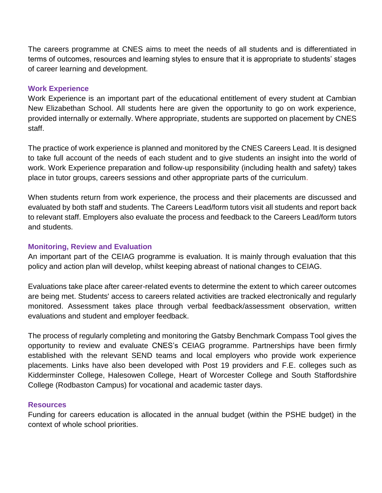The careers programme at CNES aims to meet the needs of all students and is differentiated in terms of outcomes, resources and learning styles to ensure that it is appropriate to students' stages of career learning and development.

#### **Work Experience**

Work Experience is an important part of the educational entitlement of every student at Cambian New Elizabethan School. All students here are given the opportunity to go on work experience, provided internally or externally. Where appropriate, students are supported on placement by CNES staff.

The practice of work experience is planned and monitored by the CNES Careers Lead. It is designed to take full account of the needs of each student and to give students an insight into the world of work. Work Experience preparation and follow-up responsibility (including health and safety) takes place in tutor groups, careers sessions and other appropriate parts of the curriculum.

When students return from work experience, the process and their placements are discussed and evaluated by both staff and students. The Careers Lead/form tutors visit all students and report back to relevant staff. Employers also evaluate the process and feedback to the Careers Lead/form tutors and students.

#### **Monitoring, Review and Evaluation**

An important part of the CEIAG programme is evaluation. It is mainly through evaluation that this policy and action plan will develop, whilst keeping abreast of national changes to CEIAG.

Evaluations take place after career-related events to determine the extent to which career outcomes are being met. Students' access to careers related activities are tracked electronically and regularly monitored. Assessment takes place through verbal feedback/assessment observation, written evaluations and student and employer feedback.

The process of regularly completing and monitoring the Gatsby Benchmark Compass Tool gives the opportunity to review and evaluate CNES's CEIAG programme. Partnerships have been firmly established with the relevant SEND teams and local employers who provide work experience placements. Links have also been developed with Post 19 providers and F.E. colleges such as Kidderminster College, Halesowen College, Heart of Worcester College and South Staffordshire College (Rodbaston Campus) for vocational and academic taster days.

#### **Resources**

Funding for careers education is allocated in the annual budget (within the PSHE budget) in the context of whole school priorities.